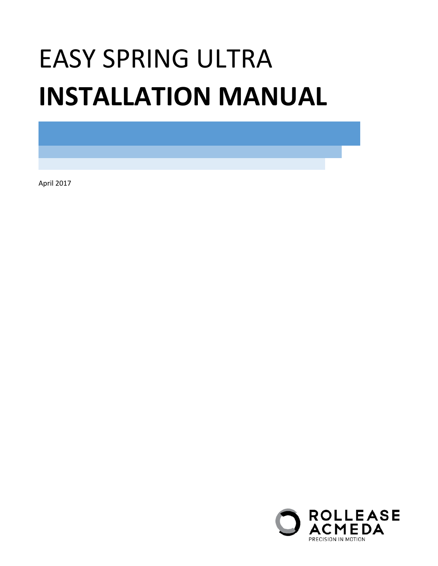# EASY SPRING ULTRA **INSTALLATION MANUAL**

April 2017

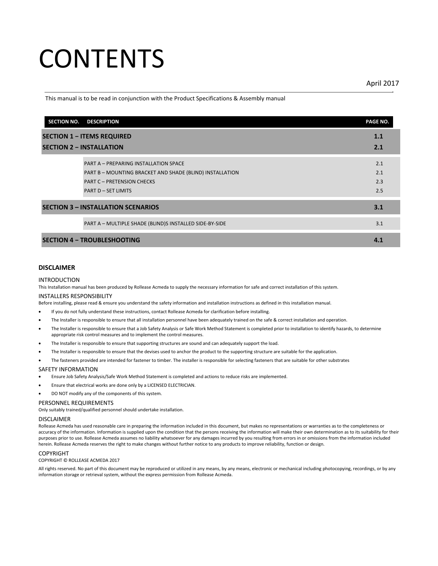## **CONTENTS**

This manual is to be read in conjunction with the Product Specifications & Assembly manual

| <b>SECTION NO.</b><br><b>DESCRIPTION</b>                 | PAGE NO. |  |  |
|----------------------------------------------------------|----------|--|--|
| <b>SECTION 1 - ITEMS REQUIRED</b>                        |          |  |  |
| <b>SECTION 2 - INSTALLATION</b>                          | 2.1      |  |  |
| <b>PART A - PREPARING INSTALLATION SPACE</b>             | 2.1      |  |  |
| PART B - MOUNTING BRACKET AND SHADE (BLIND) INSTALLATION | 2.1      |  |  |
| <b>PART C - PRETENSION CHECKS</b>                        | 2.3      |  |  |
| <b>PART D - SET LIMITS</b>                               | 2.5      |  |  |
| <b>SECTION 3 - INSTALLATION SCENARIOS</b>                |          |  |  |
| PART A - MULTIPLE SHADE (BLIND)S INSTALLED SIDE-BY-SIDE  | 3.1      |  |  |
| <b>SECTION 4 - TROUBLESHOOTING</b>                       | 4.1      |  |  |

### **DISCLAIMER**

#### INTRODUCTION

This Installation manual has been produced by Rollease Acmeda to supply the necessary information for safe and correct installation of this system.

#### INSTALLERS RESPONSIBILITY

Before installing, please read & ensure you understand the safety information and installation instructions as defined in this installation manual.

- If you do not fully understand these instructions, contact Rollease Acmeda for clarification before installing.
- The Installer is responsible to ensure that all installation personnel have been adequately trained on the safe & correct installation and operation.
- The Installer is responsible to ensure that a Job Safety Analysis or Safe Work Method Statement is completed prior to installation to identify hazards, to determine appropriate risk control measures and to implement the control measures.
- The Installer is responsible to ensure that supporting structures are sound and can adequately support the load.
- The Installer is responsible to ensure that the devises used to anchor the product to the supporting structure are suitable for the application.
- The fasteners provided are intended for fastener to timber. The installer is responsible for selecting fasteners that are suitable for other substrates

#### SAFETY INFORMATION

- Ensure Job Safety Analysis/Safe Work Method Statement is completed and actions to reduce risks are implemented.
- Ensure that electrical works are done only by a LICENSED ELECTRICIAN.
- DO NOT modify any of the components of this system.

#### PERSONNEL REQUIREMENTS

Only suitably trained/qualified personnel should undertake installation.

#### DISCLAIMER

Rollease Acmeda has used reasonable care in preparing the information included in this document, but makes no representations or warranties as to the completeness or accuracy of the information. Information is supplied upon the condition that the persons receiving the information will make their own determination as to its suitability for their purposes prior to use. Rollease Acmeda assumes no liability whatsoever for any damages incurred by you resulting from errors in or omissions from the information included herein. Rollease Acmeda reserves the right to make changes without further notice to any products to improve reliability, function or design.

#### COPYRIGHT

COPYRIGHT © ROLLEASE ACMEDA 2017

All rights reserved. No part of this document may be reproduced or utilized in any means, by any means, electronic or mechanical including photocopying, recordings, or by any information storage or retrieval system, without the express permission from Rollease Acmeda.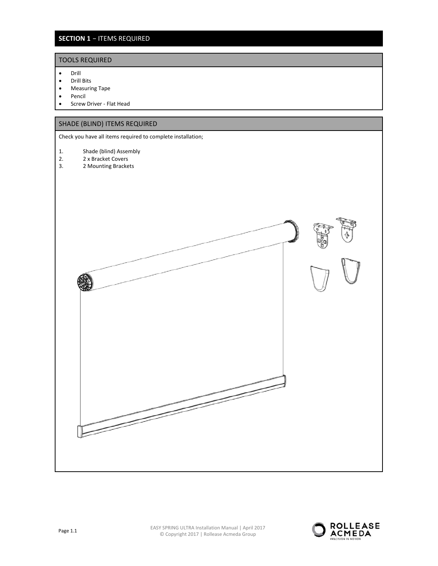## **SECTION 1** − ITEMS REQUIRED

#### TOOLS REQUIRED

- Drill
- Drill Bits
- Measuring Tape
- Pencil
- Screw Driver ‐ Flat Head

## SHADE (BLIND) ITEMS REQUIRED

Check you have all items required to complete installation;

- 1. Shade (blind) Assembly
- 2. 2 x Bracket Covers
- 3. 2 Mounting Brackets



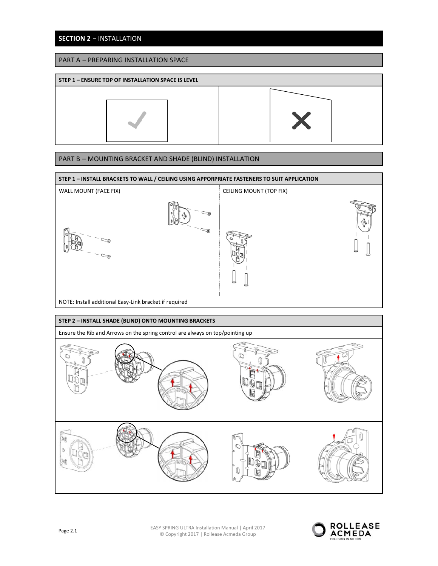## **SECTION 2** − INSTALLATION

## PART A – PREPARING INSTALLATION SPACE

## **STEP 1 – ENSURE TOP OF INSTALLATION SPACE IS LEVEL**





## PART B – MOUNTING BRACKET AND SHADE (BLIND) INSTALLATION

### **STEP 1 – INSTALL BRACKETS TO WALL / CEILING USING APPORPRIATE FASTENERS TO SUIT APPLICATION**





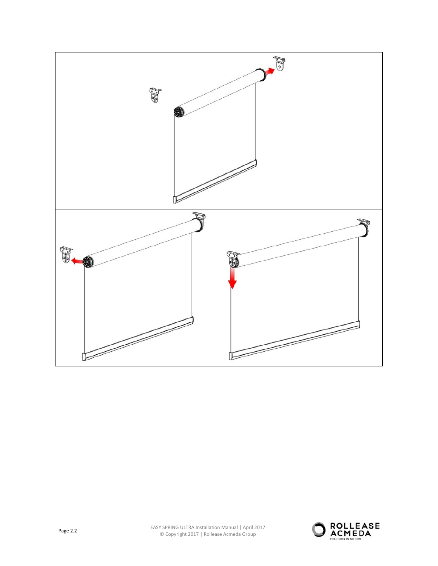

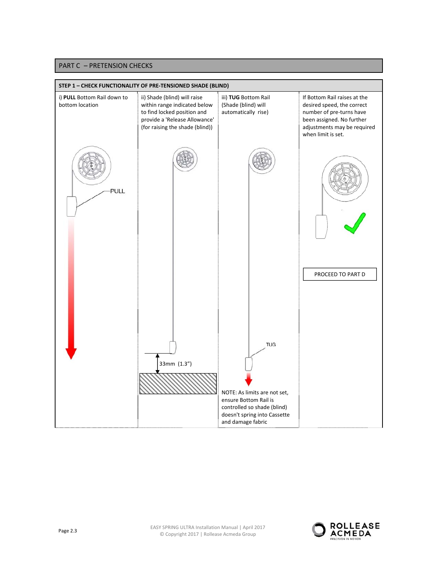## PART C – PRETENSION CHECKS



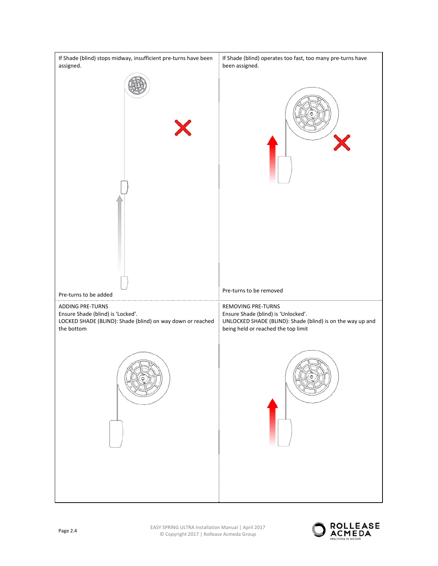

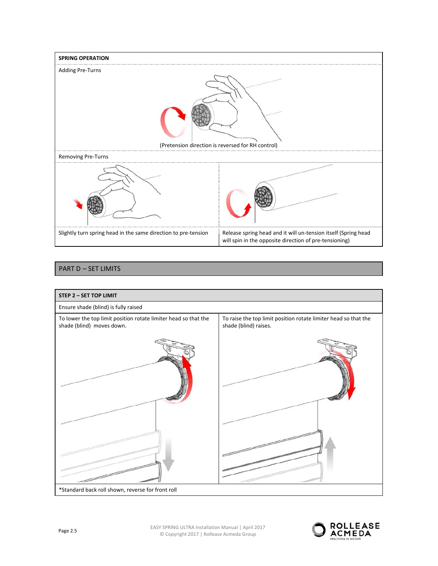

## PART D – SET LIMITS

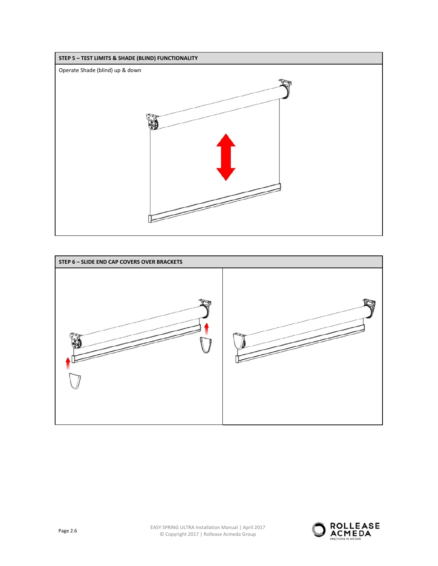



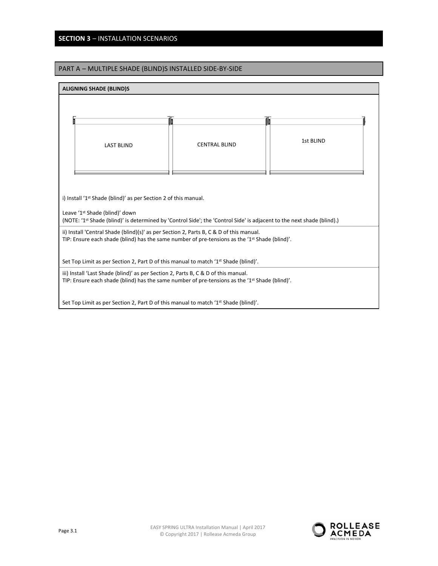## **SECTION 3** – INSTALLATION SCENARIOS

## PART A – MULTIPLE SHADE (BLIND)S INSTALLED SIDE‐BY‐SIDE

| <b>ALIGNING SHADE (BLIND)S</b>                                                                                                                                                                                                                                  |                           |           |  |  |  |
|-----------------------------------------------------------------------------------------------------------------------------------------------------------------------------------------------------------------------------------------------------------------|---------------------------|-----------|--|--|--|
| <b>LAST BLIND</b>                                                                                                                                                                                                                                               | 旧<br><b>CENTRAL BLIND</b> | 1st BLIND |  |  |  |
| i) Install '1 <sup>st</sup> Shade (blind)' as per Section 2 of this manual.<br>Leave '1 <sup>st</sup> Shade (blind)' down<br>(NOTE: '1 <sup>st</sup> Shade (blind)' is determined by 'Control Side'; the 'Control Side' is adjacent to the next shade (blind).) |                           |           |  |  |  |
| ii) Install 'Central Shade (blind)(s)' as per Section 2, Parts B, C & D of this manual.<br>TIP: Ensure each shade (blind) has the same number of pre-tensions as the '1 <sup>st</sup> Shade (blind)'.                                                           |                           |           |  |  |  |
| Set Top Limit as per Section 2, Part D of this manual to match '1 <sup>st</sup> Shade (blind)'.                                                                                                                                                                 |                           |           |  |  |  |
| iii) Install 'Last Shade (blind)' as per Section 2, Parts B, C & D of this manual.<br>TIP: Ensure each shade (blind) has the same number of pre-tensions as the '1 <sup>st</sup> Shade (blind)'.                                                                |                           |           |  |  |  |
| Set Top Limit as per Section 2, Part D of this manual to match '1 <sup>st</sup> Shade (blind)'.                                                                                                                                                                 |                           |           |  |  |  |